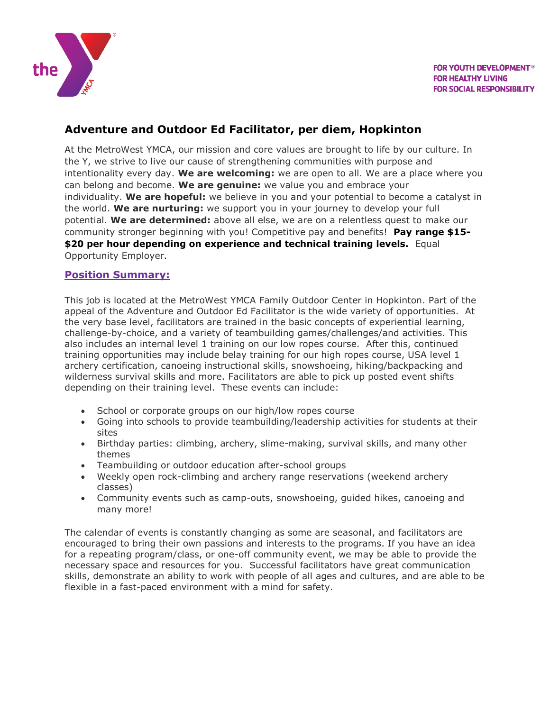

## **Adventure and Outdoor Ed Facilitator, per diem, Hopkinton**

At the MetroWest YMCA, our mission and core values are brought to life by our culture. In the Y, we strive to live our cause of strengthening communities with purpose and intentionality every day. **We are welcoming:** we are open to all. We are a place where you can belong and become. **We are genuine:** we value you and embrace your individuality. **We are hopeful:** we believe in you and your potential to become a catalyst in the world. **We are nurturing:** we support you in your journey to develop your full potential. **We are determined:** above all else, we are on a relentless quest to make our community stronger beginning with you! Competitive pay and benefits! **Pay range \$15- \$20 per hour depending on experience and technical training levels.** Equal Opportunity Employer.

#### **Position Summary:**

This job is located at the MetroWest YMCA Family Outdoor Center in Hopkinton. Part of the appeal of the Adventure and Outdoor Ed Facilitator is the wide variety of opportunities. At the very base level, facilitators are trained in the basic concepts of experiential learning, challenge-by-choice, and a variety of teambuilding games/challenges/and activities. This also includes an internal level 1 training on our low ropes course. After this, continued training opportunities may include belay training for our high ropes course, USA level 1 archery certification, canoeing instructional skills, snowshoeing, hiking/backpacking and wilderness survival skills and more. Facilitators are able to pick up posted event shifts depending on their training level. These events can include:

- School or corporate groups on our high/low ropes course
- Going into schools to provide teambuilding/leadership activities for students at their sites
- Birthday parties: climbing, archery, slime-making, survival skills, and many other themes
- Teambuilding or outdoor education after-school groups
- Weekly open rock-climbing and archery range reservations (weekend archery classes)
- Community events such as camp-outs, snowshoeing, guided hikes, canoeing and many more!

The calendar of events is constantly changing as some are seasonal, and facilitators are encouraged to bring their own passions and interests to the programs. If you have an idea for a repeating program/class, or one-off community event, we may be able to provide the necessary space and resources for you. Successful facilitators have great communication skills, demonstrate an ability to work with people of all ages and cultures, and are able to be flexible in a fast-paced environment with a mind for safety.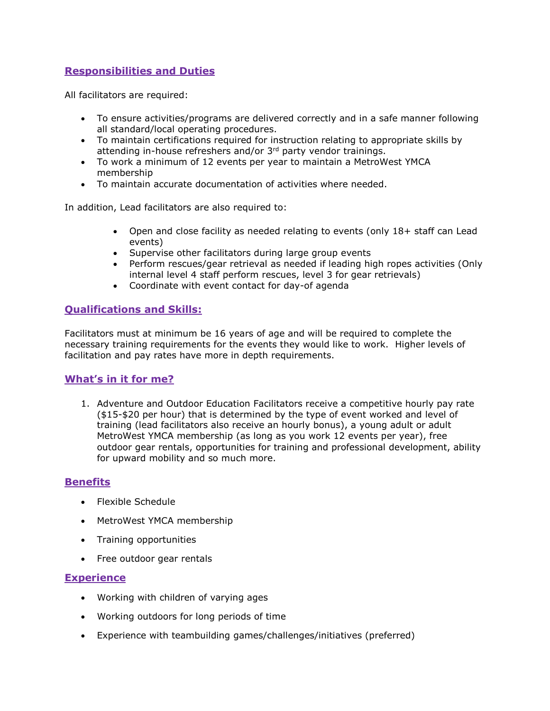### **Responsibilities and Duties**

All facilitators are required:

- To ensure activities/programs are delivered correctly and in a safe manner following all standard/local operating procedures.
- To maintain certifications required for instruction relating to appropriate skills by attending in-house refreshers and/or 3<sup>rd</sup> party vendor trainings.
- To work a minimum of 12 events per year to maintain a MetroWest YMCA membership
- To maintain accurate documentation of activities where needed.

In addition, Lead facilitators are also required to:

- Open and close facility as needed relating to events (only 18+ staff can Lead events)
- Supervise other facilitators during large group events
- Perform rescues/gear retrieval as needed if leading high ropes activities (Only internal level 4 staff perform rescues, level 3 for gear retrievals)
- Coordinate with event contact for day-of agenda

#### **Qualifications and Skills:**

Facilitators must at minimum be 16 years of age and will be required to complete the necessary training requirements for the events they would like to work. Higher levels of facilitation and pay rates have more in depth requirements.

#### **What's in it for me?**

1. Adventure and Outdoor Education Facilitators receive a competitive hourly pay rate (\$15-\$20 per hour) that is determined by the type of event worked and level of training (lead facilitators also receive an hourly bonus), a young adult or adult MetroWest YMCA membership (as long as you work 12 events per year), free outdoor gear rentals, opportunities for training and professional development, ability for upward mobility and so much more.

#### **Benefits**

- Flexible Schedule
- MetroWest YMCA membership
- Training opportunities
- Free outdoor gear rentals

#### **Experience**

- Working with children of varying ages
- Working outdoors for long periods of time
- Experience with teambuilding games/challenges/initiatives (preferred)